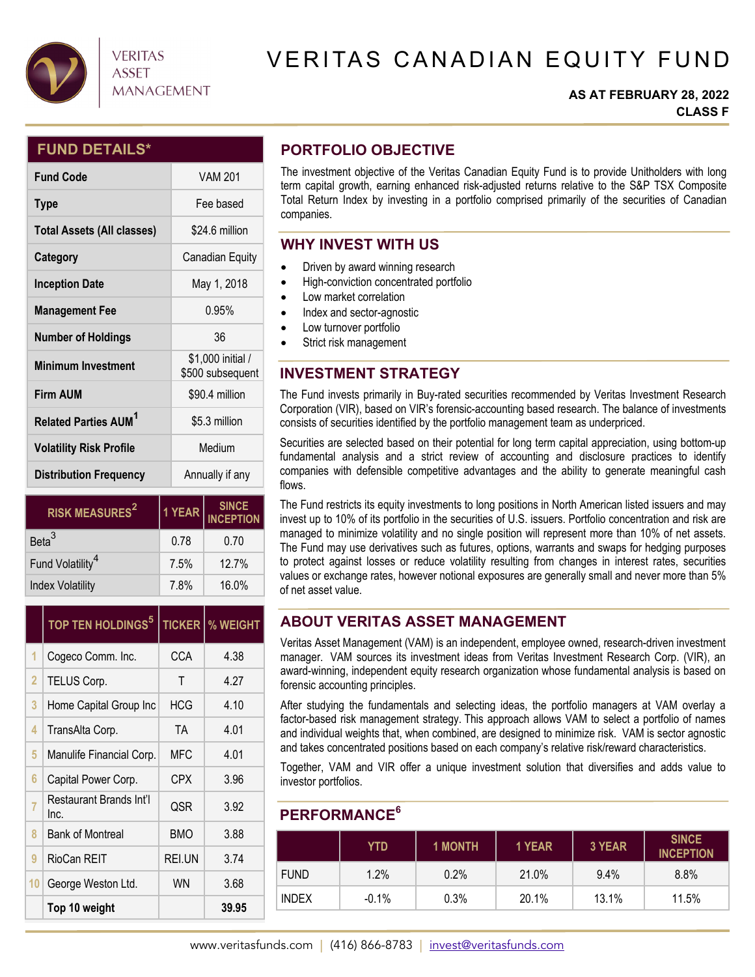

# **VERITAS ASSET MANAGEMENT**

# VERITAS CANADIAN EQUITY FUND

#### **AS AT FEBRUARY 28, 2022 CLASS F**

### **FUND DETAILS\***

| <b>Fund Code</b>                       | <b>VAM 201</b>                        |  |  |
|----------------------------------------|---------------------------------------|--|--|
| <b>Type</b>                            | Fee based                             |  |  |
| <b>Total Assets (All classes)</b>      | \$24.6 million                        |  |  |
| Category                               | Canadian Equity                       |  |  |
| <b>Inception Date</b>                  | May 1, 2018                           |  |  |
| <b>Management Fee</b>                  | 0.95%                                 |  |  |
| <b>Number of Holdings</b>              | 36                                    |  |  |
| <b>Minimum Investment</b>              | \$1,000 initial /<br>\$500 subsequent |  |  |
| <b>Firm AUM</b>                        | \$90.4 million                        |  |  |
| <b>Related Parties AUM<sup>1</sup></b> | \$5.3 million                         |  |  |
| <b>Volatility Risk Profile</b>         | Medium                                |  |  |
| <b>Distribution Frequency</b>          | Annually if any                       |  |  |

| <b>RISK MEASURES<sup>2</sup></b> | 1 YEAR | <b>SINCE</b><br><b>INCEPTION</b> |  |
|----------------------------------|--------|----------------------------------|--|
| Beta <sup>3</sup>                | 0.78   | 0.70                             |  |
| Fund Volatility <sup>4</sup>     | 7.5%   | 12.7%                            |  |
| <b>Index Volatility</b>          | 7.8%   | 16.0%                            |  |

|                | TOP TEN HOLDINGS <sup>5</sup>   | <b>TICKER</b> | % WEIGHT |  |
|----------------|---------------------------------|---------------|----------|--|
| 1              | Cogeco Comm. Inc.               | <b>CCA</b>    | 4.38     |  |
| $\overline{2}$ | TELUS Corp.                     | Τ             | 4.27     |  |
| 3              | Home Capital Group Inc          | <b>HCG</b>    | 4.10     |  |
| 4              | TransAlta Corp.                 | TA            | 4.01     |  |
| 5              | Manulife Financial Corp.        | MFC           | 4.01     |  |
| 6              | Capital Power Corp.             | CPX           | 3.96     |  |
| 7              | Restaurant Brands Int'l<br>Inc. | QSR           | 3.92     |  |
| 8              | <b>Bank of Montreal</b>         | <b>BMO</b>    | 3.88     |  |
| 9              | RioCan REIT                     | REI.UN        | 3.74     |  |
| 10             | George Weston Ltd.              | WN            | 3.68     |  |
|                | Top 10 weight                   |               | 39.95    |  |

# **PORTFOLIO OBJECTIVE**

The investment objective of the Veritas Canadian Equity Fund is to provide Unitholders with long term capital growth, earning enhanced risk-adjusted returns relative to the S&P TSX Composite Total Return Index by investing in a portfolio comprised primarily of the securities of Canadian companies.

## **WHY INVEST WITH US**

- Driven by award winning research
- $\bullet$  High-conviction concentrated portfolio
- Low market correlation
- Index and sector-agnostic
- Low turnover portfolio
- Strict risk management

# **INVESTMENT STRATEGY**

The Fund invests primarily in Buy-rated securities recommended by Veritas Investment Research Corporation (VIR), based on VIR's forensic-accounting based research. The balance of investments consists of securities identified by the portfolio management team as underpriced.

Securities are selected based on their potential for long term capital appreciation, using bottom-up fundamental analysis and a strict review of accounting and disclosure practices to identify companies with defensible competitive advantages and the ability to generate meaningful cash flows.

The Fund restricts its equity investments to long positions in North American listed issuers and may invest up to 10% of its portfolio in the securities of U.S. issuers. Portfolio concentration and risk are managed to minimize volatility and no single position will represent more than 10% of net assets. The Fund may use derivatives such as futures, options, warrants and swaps for hedging purposes to protect against losses or reduce volatility resulting from changes in interest rates, securities values or exchange rates, however notional exposures are generally small and never more than 5% of net asset value.

## **ABOUT VERITAS ASSET MANAGEMENT**

Veritas Asset Management (VAM) is an independent, employee owned, research-driven investment manager. VAM sources its investment ideas from Veritas Investment Research Corp. (VIR), an award-winning, independent equity research organization whose fundamental analysis is based on forensic accounting principles.

After studying the fundamentals and selecting ideas, the portfolio managers at VAM overlay a factor-based risk management strategy. This approach allows VAM to select a portfolio of names and individual weights that, when combined, are designed to minimize risk. VAM is sector agnostic and takes concentrated positions based on each company's relative risk/reward characteristics.

Together, VAM and VIR offer a unique investment solution that diversifies and adds value to investor portfolios.

#### **PERFORMANCE6**

|              | YTD      | <b>1 MONTH</b> | 1 YEAR | 3 YEAR  | <b>SINCE</b><br><b>INCEPTION</b> |
|--------------|----------|----------------|--------|---------|----------------------------------|
| <b>FUND</b>  | 1.2%     | 0.2%           | 21.0%  | $9.4\%$ | 8.8%                             |
| <b>INDEX</b> | $-0.1\%$ | 0.3%           | 20.1%  | 13.1%   | 11.5%                            |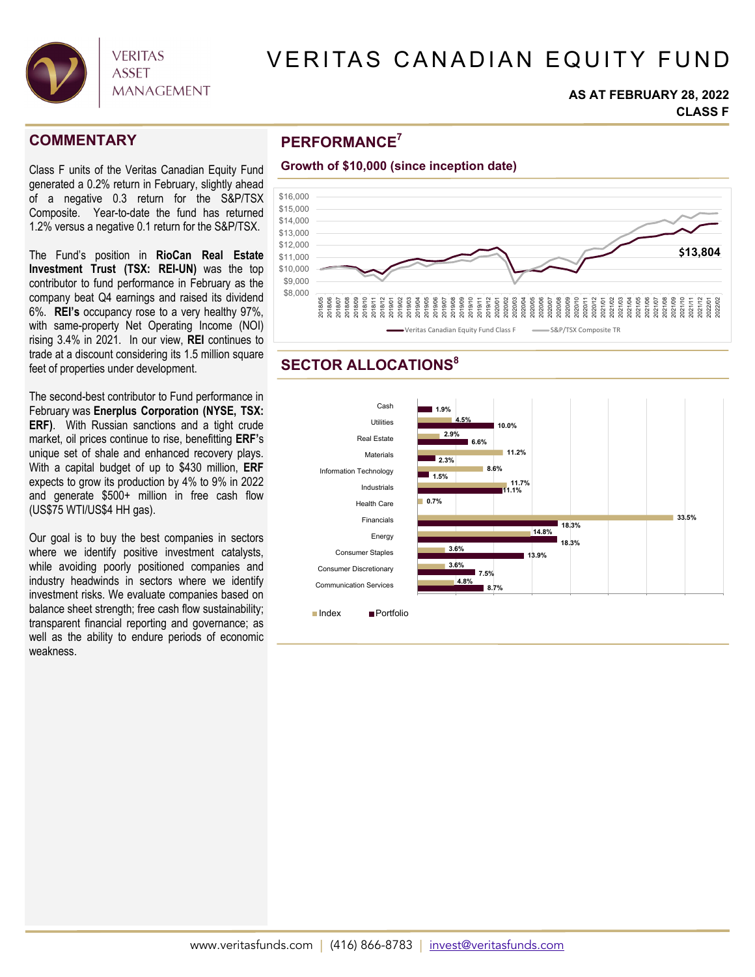

# VERITAS CANADIAN EQUITY FUND

#### **AS AT FEBRUARY 28, 2022 CLASS F**

Class F units of the Veritas Canadian Equity Fund generated a 0.2% return in February, slightly ahead of a negative 0.3 return for the S&P/TSX Composite. Year-to-date the fund has returned 1.2% versus a negative 0.1 return for the S&P/TSX.

The Fund's position in **RioCan Real Estate Investment Trust (TSX: REI-UN)** was the top contributor to fund performance in February as the company beat Q4 earnings and raised its dividend 6%. **REI's** occupancy rose to a very healthy 97%, with same-property Net Operating Income (NOI) rising 3.4% in 2021. In our view, **REI** continues to trade at a discount considering its 1.5 million square feet of properties under development.

The second-best contributor to Fund performance in February was **Enerplus Corporation (NYSE, TSX: ERF)**. With Russian sanctions and a tight crude market, oil prices continue to rise, benefitting **ERF'**s unique set of shale and enhanced recovery plays. With a capital budget of up to \$430 million, **ERF** expects to grow its production by 4% to 9% in 2022 and generate \$500+ million in free cash flow (US\$75 WTI/US\$4 HH gas).

Our goal is to buy the best companies in sectors where we identify positive investment catalysts, while avoiding poorly positioned companies and industry headwinds in sectors where we identify investment risks. We evaluate companies based on balance sheet strength; free cash flow sustainability; transparent financial reporting and governance; as well as the ability to endure periods of economic weakness.

## **PERFORMANCE COMMENTARY <sup>7</sup>**



### **SECTOR ALLOCATIONS<sup>8</sup>**